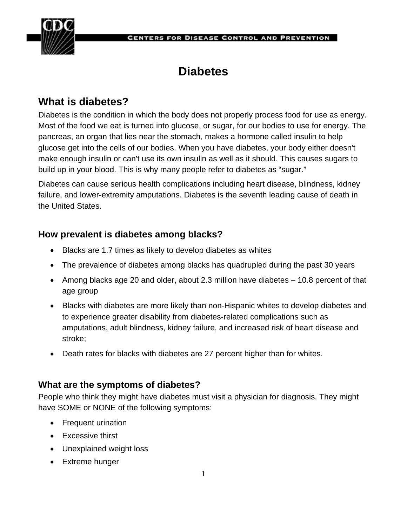

#### **CENTERS FOR DISEASE CONTROL AND PREVENTION**

# **Diabetes**

# **What is diabetes?**

Diabetes is the condition in which the body does not properly process food for use as energy. Most of the food we eat is turned into glucose, or sugar, for our bodies to use for energy. The pancreas, an organ that lies near the stomach, makes a hormone called insulin to help glucose get into the cells of our bodies. When you have diabetes, your body either doesn't make enough insulin or can't use its own insulin as well as it should. This causes sugars to build up in your blood. This is why many people refer to diabetes as "sugar."

Diabetes can cause serious health complications including heart disease, blindness, kidney failure, and lower-extremity amputations. Diabetes is the seventh leading cause of death in the United States.

## **How prevalent is diabetes among blacks?**

- Blacks are 1.7 times as likely to develop diabetes as whites
- The prevalence of diabetes among blacks has quadrupled during the past 30 years
- Among blacks age 20 and older, about 2.3 million have diabetes 10.8 percent of that age group
- Blacks with diabetes are more likely than non-Hispanic whites to develop diabetes and to experience greater disability from diabetes-related complications such as amputations, adult blindness, kidney failure, and increased risk of heart disease and stroke;
- Death rates for blacks with diabetes are 27 percent higher than for whites.

#### **What are the symptoms of diabetes?**

People who think they might have diabetes must visit a physician for diagnosis. They might have SOME or NONE of the following symptoms:

- Frequent urination
- Excessive thirst
- Unexplained weight loss
- Extreme hunger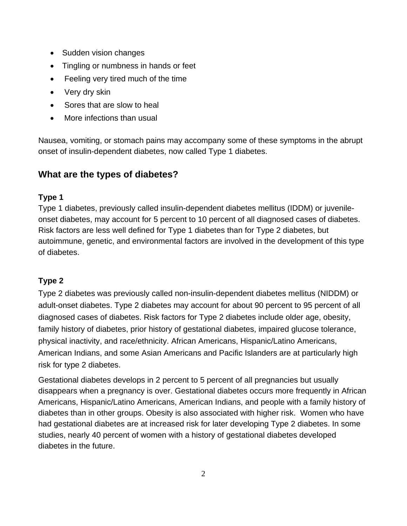- Sudden vision changes
- Tingling or numbness in hands or feet
- Feeling very tired much of the time
- Very dry skin
- Sores that are slow to heal
- More infections than usual

Nausea, vomiting, or stomach pains may accompany some of these symptoms in the abrupt onset of insulin-dependent diabetes, now called Type 1 diabetes.

#### **What are the types of diabetes?**

#### **Type 1**

Type 1 diabetes, previously called insulin-dependent diabetes mellitus (IDDM) or juvenileonset diabetes, may account for 5 percent to 10 percent of all diagnosed cases of diabetes. Risk factors are less well defined for Type 1 diabetes than for Type 2 diabetes, but autoimmune, genetic, and environmental factors are involved in the development of this type of diabetes.

#### **Type 2**

Type 2 diabetes was previously called non-insulin-dependent diabetes mellitus (NIDDM) or adult-onset diabetes. Type 2 diabetes may account for about 90 percent to 95 percent of all diagnosed cases of diabetes. Risk factors for Type 2 diabetes include older age, obesity, family history of diabetes, prior history of gestational diabetes, impaired glucose tolerance, physical inactivity, and race/ethnicity. African Americans, Hispanic/Latino Americans, American Indians, and some Asian Americans and Pacific Islanders are at particularly high risk for type 2 diabetes.

Gestational diabetes develops in 2 percent to 5 percent of all pregnancies but usually disappears when a pregnancy is over. Gestational diabetes occurs more frequently in African Americans, Hispanic/Latino Americans, American Indians, and people with a family history of diabetes than in other groups. Obesity is also associated with higher risk. Women who have had gestational diabetes are at increased risk for later developing Type 2 diabetes. In some studies, nearly 40 percent of women with a history of gestational diabetes developed diabetes in the future.